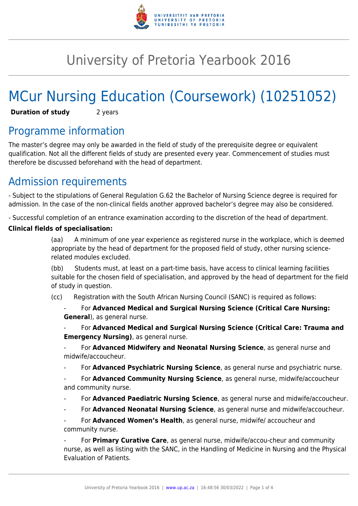

# University of Pretoria Yearbook 2016

# MCur Nursing Education (Coursework) (10251052)

**Duration of study** 2 years

# Programme information

The master's degree may only be awarded in the field of study of the prerequisite degree or equivalent qualification. Not all the different fields of study are presented every year. Commencement of studies must therefore be discussed beforehand with the head of department.

# Admission requirements

- Subject to the stipulations of General Regulation G.62 the Bachelor of Nursing Science degree is required for admission. In the case of the non-clinical fields another approved bachelor's degree may also be considered.

- Successful completion of an entrance examination according to the discretion of the head of department.

#### **Clinical fields of specialisation:**

(aa) A minimum of one year experience as registered nurse in the workplace, which is deemed appropriate by the head of department for the proposed field of study, other nursing sciencerelated modules excluded.

(bb) Students must, at least on a part-time basis, have access to clinical learning facilities suitable for the chosen field of specialisation, and approved by the head of department for the field of study in question.

(cc) Registration with the South African Nursing Council (SANC) is required as follows:

- For **Advanced Medical and Surgical Nursing Science (Critical Care Nursing: General**), as general nurse.

- For **Advanced Medical and Surgical Nursing Science (Critical Care: Trauma and Emergency Nursing)**, as general nurse.

- For **Advanced Midwifery and Neonatal Nursing Science**, as general nurse and midwife/accoucheur.

- For **Advanced Psychiatric Nursing Science**, as general nurse and psychiatric nurse.

- For **Advanced Community Nursing Science**, as general nurse, midwife/accoucheur and community nurse.

- For **Advanced Paediatric Nursing Science**, as general nurse and midwife/accoucheur.
- For **Advanced Neonatal Nursing Science**, as general nurse and midwife/accoucheur.

For **Advanced Women's Health**, as general nurse, midwife/ accoucheur and community nurse.

- For **Primary Curative Care**, as general nurse, midwife/accou-cheur and community nurse, as well as listing with the SANC, in the Handling of Medicine in Nursing and the Physical Evaluation of Patients.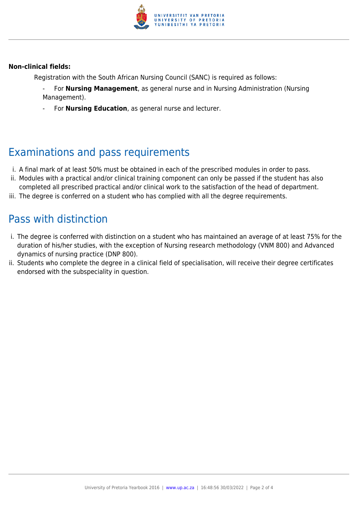

#### **Non-clinical fields:**

Registration with the South African Nursing Council (SANC) is required as follows:

- For **Nursing Management**, as general nurse and in Nursing Administration (Nursing Management).
- For **Nursing Education**, as general nurse and lecturer.

## Examinations and pass requirements

- i. A final mark of at least 50% must be obtained in each of the prescribed modules in order to pass.
- ii. Modules with a practical and/or clinical training component can only be passed if the student has also
- completed all prescribed practical and/or clinical work to the satisfaction of the head of department. iii. The degree is conferred on a student who has complied with all the degree requirements.

## Pass with distinction

- i. The degree is conferred with distinction on a student who has maintained an average of at least 75% for the duration of his/her studies, with the exception of Nursing research methodology (VNM 800) and Advanced dynamics of nursing practice (DNP 800).
- ii. Students who complete the degree in a clinical field of specialisation, will receive their degree certificates endorsed with the subspeciality in question.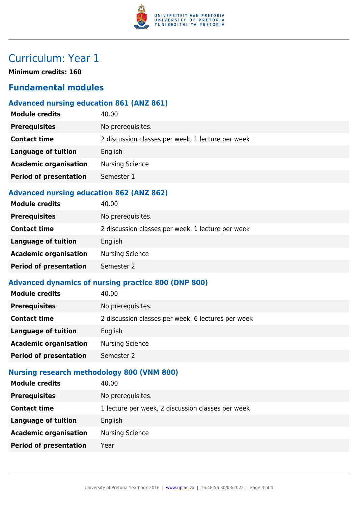

# Curriculum: Year 1

**Minimum credits: 160**

### **Fundamental modules**

### **Advanced nursing education 861 (ANZ 861)**

| <b>Module credits</b>         | 40.00                                             |
|-------------------------------|---------------------------------------------------|
| <b>Prerequisites</b>          | No prerequisites.                                 |
| <b>Contact time</b>           | 2 discussion classes per week, 1 lecture per week |
| Language of tuition           | English                                           |
| <b>Academic organisation</b>  | <b>Nursing Science</b>                            |
| <b>Period of presentation</b> | Semester 1                                        |
|                               |                                                   |

#### **Advanced nursing education 862 (ANZ 862)**

| <b>Module credits</b>         | 40.00                                             |
|-------------------------------|---------------------------------------------------|
| <b>Prerequisites</b>          | No prerequisites.                                 |
| <b>Contact time</b>           | 2 discussion classes per week, 1 lecture per week |
| <b>Language of tuition</b>    | English                                           |
| <b>Academic organisation</b>  | <b>Nursing Science</b>                            |
| <b>Period of presentation</b> | Semester 2                                        |
|                               |                                                   |

### **Advanced dynamics of nursing practice 800 (DNP 800)**

| <b>Module credits</b>         | 40.00                                              |
|-------------------------------|----------------------------------------------------|
| <b>Prerequisites</b>          | No prerequisites.                                  |
| <b>Contact time</b>           | 2 discussion classes per week, 6 lectures per week |
| Language of tuition           | English                                            |
| <b>Academic organisation</b>  | <b>Nursing Science</b>                             |
| <b>Period of presentation</b> | Semester 2                                         |

### **Nursing research methodology 800 (VNM 800)**

| <b>Module credits</b>         | 40.00                                             |
|-------------------------------|---------------------------------------------------|
| <b>Prerequisites</b>          | No prerequisites.                                 |
| <b>Contact time</b>           | 1 lecture per week, 2 discussion classes per week |
| <b>Language of tuition</b>    | English                                           |
| <b>Academic organisation</b>  | <b>Nursing Science</b>                            |
| <b>Period of presentation</b> | Year                                              |